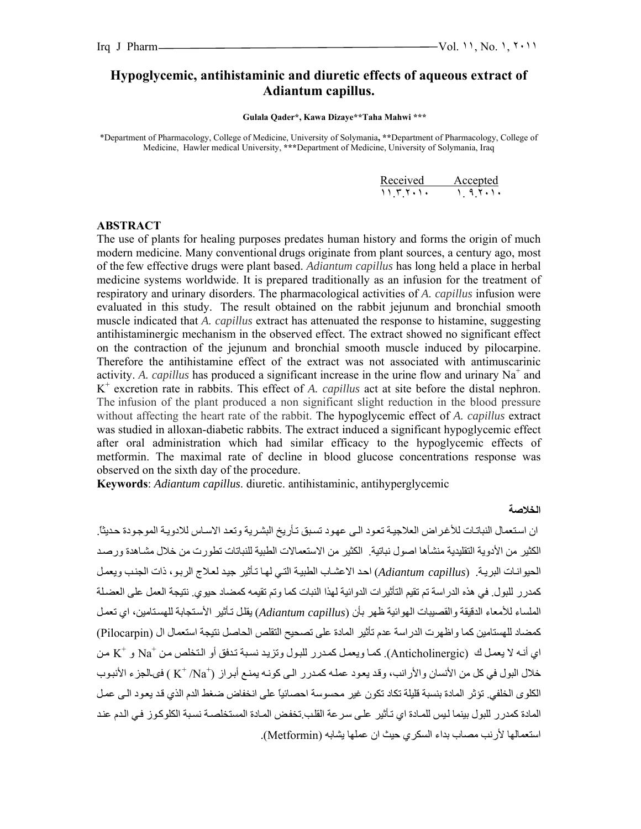# **Hypoglycemic, antihistaminic and diuretic effects of aqueous extract of Adiantum capillus.**

 **Gulala Qader\*, Kawa Dizaye\*\*Taha Mahwi \*\*\*** 

\*Department of Pharmacology, College of Medicine, University of Solymania**, \*\***Department of Pharmacology, College of Medicine, Hawler medical University, **\*\*\***Department of Medicine, University of Solymania, Iraq

| Received Accepted                                                                |  |
|----------------------------------------------------------------------------------|--|
| $\left\{ \begin{array}{ccc} 1 & 1 & 1 & 1 \\ 1 & 1 & 1 & 1 \end{array} \right\}$ |  |

#### **ABSTRACT**

The use of plants for healing purposes predates human history and forms the origin of much modern medicine. Many conventional drugs originate from plant sources, a century ago, most of the few effective drugs were plant based. *Adiantum capillus* has long held a place in herbal medicine systems worldwide. It is prepared traditionally as an infusion for the treatment of respiratory and urinary disorders. The pharmacological activities of *A. capillus* infusion were evaluated in this study. The result obtained on the rabbit jejunum and bronchial smooth muscle indicated that *A. capillus* extract has attenuated the response to histamine, suggesting antihistaminergic mechanism in the observed effect. The extract showed no significant effect on the contraction of the jejunum and bronchial smooth muscle induced by pilocarpine. Therefore the antihistamine effect of the extract was not associated with antimuscarinic activity. A. *capillus* has produced a significant increase in the urine flow and urinary  $Na^+$  and K+ excretion rate in rabbits. This effect of *A. capillus* act at site before the distal nephron. The infusion of the plant produced a non significant slight reduction in the blood pressure without affecting the heart rate of the rabbit. The hypoglycemic effect of *A. capillus* extract was studied in alloxan-diabetic rabbits. The extract induced a significant hypoglycemic effect after oral administration which had similar efficacy to the hypoglycemic effects of metformin. The maximal rate of decline in blood glucose concentrations response was observed on the sixth day of the procedure.

**Keywords**: *Adiantum capillus*. diuretic. antihistaminic, antihyperglycemic

#### **الخلاصة**

ان استعمال النباتات للأغر اض العلاجية تعود الى عهود تسبق تأريخ البشرية وتعد الاساس للادوية الموجودة حديثا. الكثير من الأدوية التقليدية منشأها اصول نباتية. الكثير من الاستعمالات الطبية للنباتات تطورت من خلال مشـاهدة ورصـد الحيوانـات البريـة. (*Adiantum capillus*) احد الاعشـاب الطبيـة التي لهـا تـأثير جيد لعـلاج الربـو، ذات الجنب ويعمل كمدرر للبول. في هذه الدراسة تم تقيم التأثيرات الدوائية لهذا النبات كما وتم تقيمه كمضاد حيوي. نتيجة العمل على العضلة الملساء للأمعاء الدقيقة والقصيبات الهوائية ظهر بأن (*Adiantum capillus)* يقلل تـأثير الأستجابة للهستامين، اي تعمل كمضاد للهستامين كما واظهرت الدراسة عدم تأثير المادة على تصحيح التقلص الحاصل نتيجة استعمال ال (Pilocarpin) اي أنـه لا يعمل ك (Anticholinergic). كما ويعمل كمدرر للبول وتزيد نسبة تدفق أو التخلص من  $\mathrm{Na}^+$  و  $\mathrm{K}^+$  من خلال البول في كل من الأنسان والأرانب، وقد يعود عملـه كمدرر الـي كونـه يمنـع أبـراز (†K \* /Na ) في الجزء الأنبوب الكلوى الخلفي. تؤثر المادة بنسبة قليلة تكاد تكون غير محسوسة احصائياً على انخفاض ضغط الدم الذي قد يعود الى عمل المادة كمدرر للبول بينما ليس للمـادة اي تـأثير علي سرعة القلب.تخفض المـادة المستخلصـة نسبة الكلوكوز في الـدم عند استعمالها لأرنب مصاب بداء السكري حيث ان عملها يشابه (Metformin(.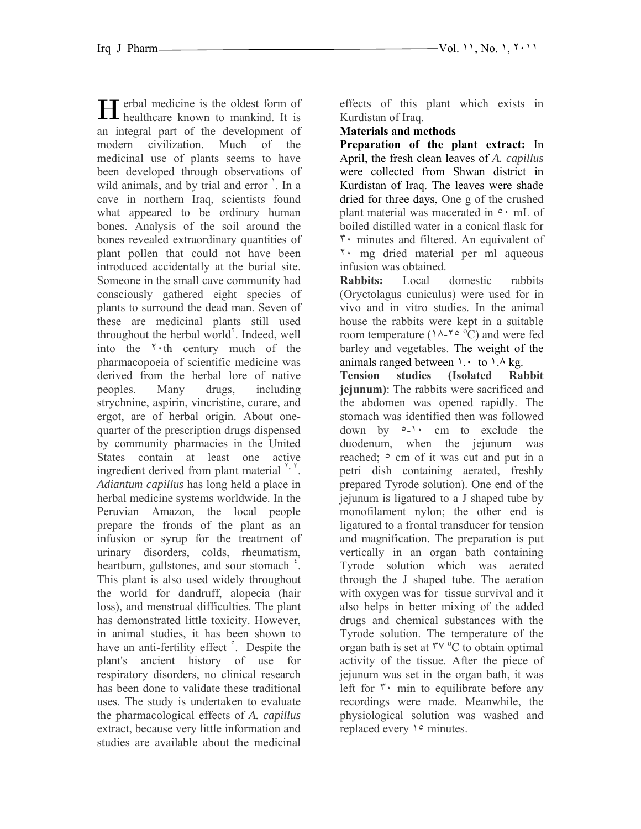erbal medicine is the oldest form of **H** erbal medicine is the oldest form of healthcare known to mankind. It is an integral part of the development of modern civilization. Much of the medicinal use of plants seems to have been developed through observations of wild animals, and by trial and error '. In a cave in northern Iraq, scientists found what appeared to be ordinary human bones. Analysis of the soil around the bones revealed extraordinary quantities of plant pollen that could not have been introduced accidentally at the burial site. Someone in the small cave community had consciously gathered eight species of plants to surround the dead man. Seven of these are medicinal plants still used throughout the herbal world'. Indeed, well into the ٢٠th century much of the pharmacopoeia of scientific medicine was derived from the herbal lore of native peoples. Many drugs, including strychnine, aspirin, vincristine, curare, and ergot, are of herbal origin. About onequarter of the prescription drugs dispensed by community pharmacies in the United States contain at least one active ingredient derived from plant material  $\binom{r}{r}$ . *Adiantum capillus* has long held a place in herbal medicine systems worldwide. In the Peruvian Amazon, the local people prepare the fronds of the plant as an infusion or syrup for the treatment of urinary disorders, colds, rheumatism, heartburn, gallstones, and sour stomach<sup>1</sup>. This plant is also used widely throughout the world for dandruff, alopecia (hair loss), and menstrual difficulties. The plant has demonstrated little toxicity. However, in animal studies, it has been shown to have an anti-fertility effect <sup>o</sup>. Despite the plant's ancient history of use for respiratory disorders, no clinical research has been done to validate these traditional uses. The study is undertaken to evaluate the pharmacological effects of *A. capillus* extract, because very little information and studies are available about the medicinal

effects of this plant which exists in Kurdistan of Iraq.

### **Materials and methods**

**Preparation of the plant extract:** In April, the fresh clean leaves of *A. capillus* were collected from Shwan district in Kurdistan of Iraq. The leaves were shade dried for three days, One g of the crushed plant material was macerated in ٥٠ mL of boiled distilled water in a conical flask for ٣٠ minutes and filtered. An equivalent of ٢٠ mg dried material per ml aqueous infusion was obtained.

**Rabbits:** Local domestic rabbits (Oryctolagus cuniculus) were used for in vivo and in vitro studies. In the animal house the rabbits were kept in a suitable room temperature ( $\lambda$ - $\gamma \circ \partial$ ) and were fed barley and vegetables. The weight of the animals ranged between  $\cdot \cdot$  to  $\cdot \cdot \cdot$  kg.

**Tension studies (Isolated Rabbit jejunum)**: The rabbits were sacrificed and the abdomen was opened rapidly. The stomach was identified then was followed down by ٥-١٠ cm to exclude the duodenum, when the jejunum was reached;  $\circ$  cm of it was cut and put in a petri dish containing aerated, freshly prepared Tyrode solution). One end of the jejunum is ligatured to a J shaped tube by monofilament nylon; the other end is ligatured to a frontal transducer for tension and magnification. The preparation is put vertically in an organ bath containing Tyrode solution which was aerated through the J shaped tube. The aeration with oxygen was for tissue survival and it also helps in better mixing of the added drugs and chemical substances with the Tyrode solution. The temperature of the organ bath is set at  $\mathsf{r} \vee \mathsf{v}$ <sup>o</sup>C to obtain optimal activity of the tissue. After the piece of jejunum was set in the organ bath, it was left for  $\mathbf{r}$  min to equilibrate before any recordings were made. Meanwhile, the physiological solution was washed and replaced every ١٥ minutes.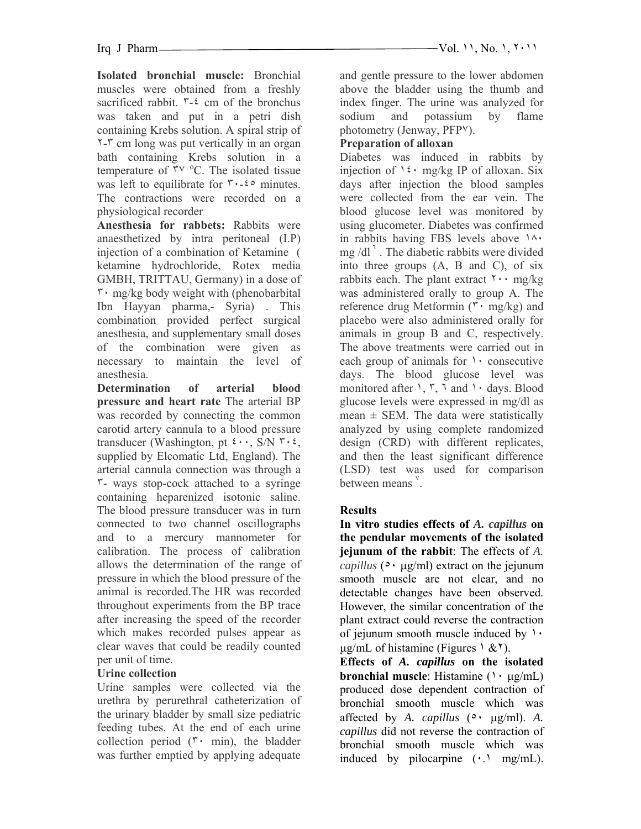**Isolated bronchial muscle:** Bronchial muscles were obtained from a freshly sacrificed rabbit.  $\mathbf{r}$ - $\mathbf{\hat{z}}$  cm of the bronchus was taken and put in a petri dish containing Krebs solution. A spiral strip of ٢-٣ cm long was put vertically in an organ bath containing Krebs solution in a temperature of  $\overline{r}v$  °C. The isolated tissue was left to equilibrate for  $\forall \cdot \exists$  -  $\forall$  minutes. The contractions were recorded on a physiological recorder

**Anesthesia for rabbets:** Rabbits were anaesthetized by intra peritoneal (I.P) injection of a combination of Ketamine ( ketamine hydrochloride, Rotex media GMBH, TRITTAU, Germany) in a dose of  $\mathbf{r} \cdot \mathbf{mg/kg}$  body weight with (phenobarbital Ibn Hayyan pharma,- Syria) . This combination provided perfect surgical anesthesia, and supplementary small doses of the combination were given as necessary to maintain the level of anesthesia.

**Determination of arterial blood pressure and heart rate** The arterial BP was recorded by connecting the common carotid artery cannula to a blood pressure transducer (Washington, pt  $\mathfrak{t} \cdots$ , S/N  $\mathfrak{r} \cdot \mathfrak{t}$ , supplied by Elcomatic Ltd, England). The arterial cannula connection was through a ٣- ways stop-cock attached to a syringe containing heparenized isotonic saline. The blood pressure transducer was in turn connected to two channel oscillographs and to a mercury mannometer for calibration. The process of calibration allows the determination of the range of pressure in which the blood pressure of the animal is recorded.The HR was recorded throughout experiments from the BP trace after increasing the speed of the recorder which makes recorded pulses appear as clear waves that could be readily counted per unit of time.

# **Urine collection**

Urine samples were collected via the urethra by perurethral catheterization of the urinary bladder by small size pediatric feeding tubes. At the end of each urine collection period  $(5 \cdot \text{min})$ , the bladder was further emptied by applying adequate

and gentle pressure to the lower abdomen above the bladder using the thumb and index finger. The urine was analyzed for sodium and potassium by flame photometry (Jenway, PFP٧).

## **Preparation of alloxan**

Diabetes was induced in rabbits by injection of  $1 \xi \cdot mg/kg$  IP of alloxan. Six days after injection the blood samples were collected from the ear vein. The blood glucose level was monitored by using glucometer. Diabetes was confirmed in rabbits having FBS levels above ١٨٠ mg  $/dl^7$ . The diabetic rabbits were divided into three groups (A, B and C), of six rabbits each. The plant extract  $\gamma \cdot \gamma$  mg/kg was administered orally to group A. The reference drug Metformin  $(\mathbf{r} \cdot \mathbf{mg/kg})$  and placebo were also administered orally for animals in group B and C, respectively. The above treatments were carried out in each group of animals for  $\lambda$  consecutive days. The blood glucose level was monitored after  $\lambda$ ,  $\overline{\lambda}$ ,  $\overline{\lambda}$  and  $\lambda$  days. Blood glucose levels were expressed in mg/dl as mean  $\pm$  SEM. The data were statistically analyzed by using complete randomized design (CRD) with different replicates, and then the least significant difference (LSD) test was used for comparison between means<sup>"</sup>.

# **Results**

**In vitro studies effects of** *A. capillus* **on the pendular movements of the isolated jejunum of the rabbit**: The effects of *A. capillus* ( $\circ \cdot \mu$ g/ml) extract on the jejunum smooth muscle are not clear, and no detectable changes have been observed. However, the similar concentration of the plant extract could reverse the contraction of jejunum smooth muscle induced by ١٠  $\mu$ g/mL of histamine (Figures  $\lambda$  &  $\lambda$ ).

**Effects of** *A. capillus* **on the isolated bronchial muscle**: Histamine (١٠ µg/mL) produced dose dependent contraction of bronchial smooth muscle which was affected by *A. capillus* (٥٠ µg/ml). *A. capillus* did not reverse the contraction of bronchial smooth muscle which was induced by pilocarpine  $(\cdot)$  mg/mL).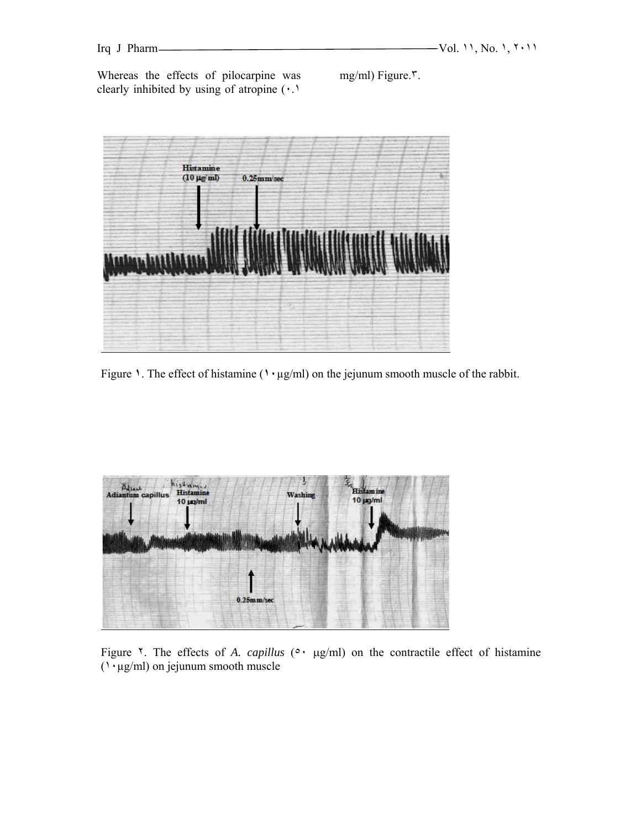Whereas the effects of pilocarpine was clearly inhibited by using of atropine (٠.١

mg/ml) Figure.٣.



Figure **١**. The effect of histamine (**١٠**µg/ml) on the jejunum smooth muscle of the rabbit.



Figure  $\lambda$ . The effects of *A. capillus* ( $\lambda$ ,  $\mu$ g/ml) on the contractile effect of histamine  $(1. \mu g/ml)$  on jejunum smooth muscle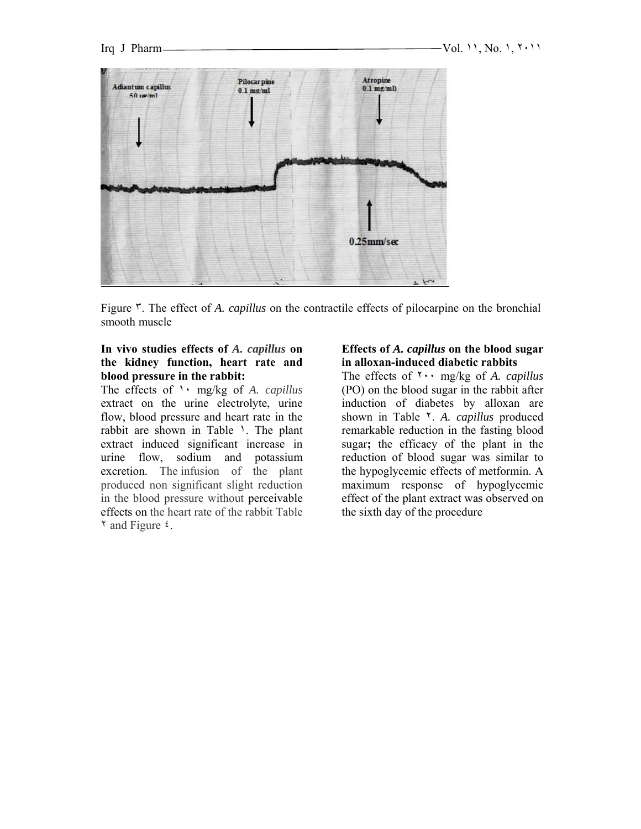

Figure ٣. The effect of *A. capillus* on the contractile effects of pilocarpine on the bronchial smooth muscle

#### **In vivo studies effects of** *A. capillus* **on the kidney function, heart rate and blood pressure in the rabbit:**

The effects of ١٠ mg/kg of *A. capillus* extract on the urine electrolyte, urine flow, blood pressure and heart rate in the rabbit are shown in Table ١. The plant extract induced significant increase in urine flow, sodium and potassium excretion. The infusion of the plant produced non significant slight reduction in the blood pressure without perceivable effects on the heart rate of the rabbit Table ٢ and Figure ٤.

#### **Effects of** *A. capillus* **on the blood sugar in alloxan-induced diabetic rabbits**

The effects of ٢٠٠ mg/kg of *A. capillus* (PO) on the blood sugar in the rabbit after induction of diabetes by alloxan are shown in Table ٢. *A. capillus* produced remarkable reduction in the fasting blood sugar**;** the efficacy of the plant in the reduction of blood sugar was similar to the hypoglycemic effects of metformin. A maximum response of hypoglycemic effect of the plant extract was observed on the sixth day of the procedure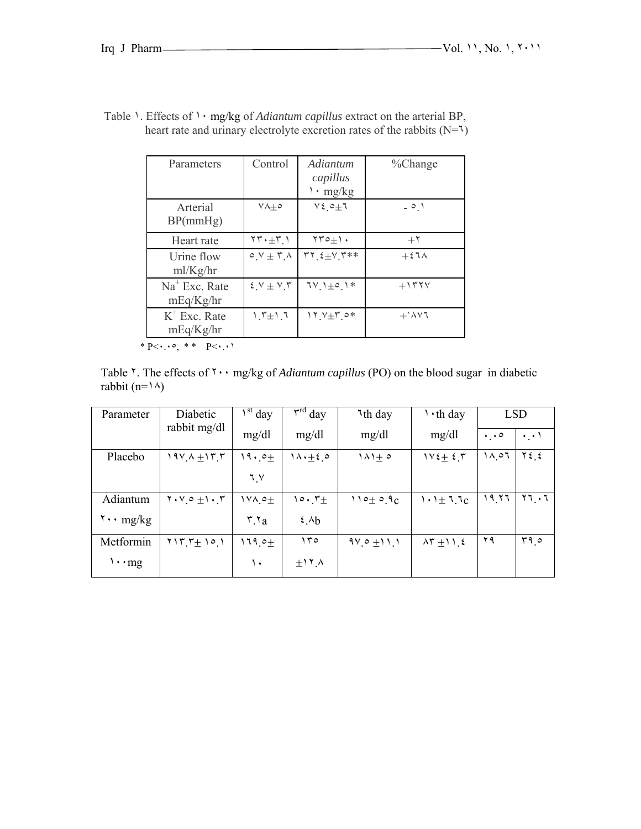| Parameters                   | Control                          | Adiantum<br>capillus<br>$\cdot$ mg/kg | %Change                     |
|------------------------------|----------------------------------|---------------------------------------|-----------------------------|
| Arterial<br>BP(mmHg)         | $V \wedge + \circ$               | $V\xi$ o $\pm$ 1                      | $-0.1$                      |
| Heart rate                   | $\gamma \gamma \cdot \pm \gamma$ | $\forall \forall \circ \pm 1$ .       | $+7$                        |
| Urine flow<br>ml/Kg/hr       | $0.1 + T_A$                      | $rr \xi \pm V$ $r**$                  | $+57\lambda$                |
| $Na+ Exc. Rate$<br>mEq/Kg/hr | $5.7 \pm 7.7$                    | $7V_1\pm o_1$ *                       | $+1554$                     |
| $K^+$ Exc. Rate<br>mEq/Kg/hr | $1.7 \pm 1.7$                    | $11.7 + 7.0*$                         | $+$ $\lambda$ $\vee$ $\tau$ |

| Table $\lambda$ . Effects of $\lambda \cdot$ mg/kg of <i>Adiantum capillus</i> extract on the arterial BP, |  |
|------------------------------------------------------------------------------------------------------------|--|
| heart rate and urinary electrolyte excretion rates of the rabbits $(N=1)$                                  |  |

 $* \overline{P} \leftarrow \cdot \cdot \circ, * \overline{P} \leftarrow \cdot \cdot \cdot$ 

Table ٢. The effects of ٢٠٠ mg/kg of *Adiantum capillus* (PO) on the blood sugar in diabetic rabbit (n= $\lambda$ )

| Parameter                           | Diabetic<br>rabbit mg/dl                     | $\int^{\rm st}$ day           | $\overline{\mathbf{r}}^{\text{rd}}$ day | <sup>1</sup> th day | $\cdot$ th day              |                     | <b>LSD</b>    |
|-------------------------------------|----------------------------------------------|-------------------------------|-----------------------------------------|---------------------|-----------------------------|---------------------|---------------|
|                                     |                                              | mg/dl                         | mg/dl                                   | mg/dl               | mg/dl                       | $\cdot \cdot \cdot$ | $\cdot$ .     |
| Placebo                             | $19V A \pm 17.7$                             | $19.2 +$                      | $1 \wedge \cdot \pm 2$ $\circ$          | $1\wedge 1 \pm 0$   | $1 \vee 2 + 2 \uparrow$     | ۱۸ ه.               | $Y \xi$ $\xi$ |
|                                     |                                              | ٦V                            |                                         |                     |                             |                     |               |
| Adiantum                            | $Y \cdot V \circ \pm 1 \cdot Y$              | $14.0 +$                      | $\circ \cdot \cdot +$                   | $110 \pm 0.9c$      | $1 \cdot 1 \pm 1.7c$        | ۲٦ م ۱              | ۲٦.۱          |
| $\mathbf{y} \cdot \mathbf{n}$ mg/kg |                                              | $\mathbf{r} \cdot \mathbf{r}$ | 2.4 <sub>b</sub>                        |                     |                             |                     |               |
| Metformin                           | $Y \setminus Y' + \setminus \circ \setminus$ | $119.0 +$                     | 150                                     | $9V_0 \pm 11.1$     | $\lambda \Upsilon \pm 11.5$ | ۲۹                  | ۰ ۲۹          |
| $\cdots$ mg                         |                                              | ١.                            | $+11$ $\Lambda$                         |                     |                             |                     |               |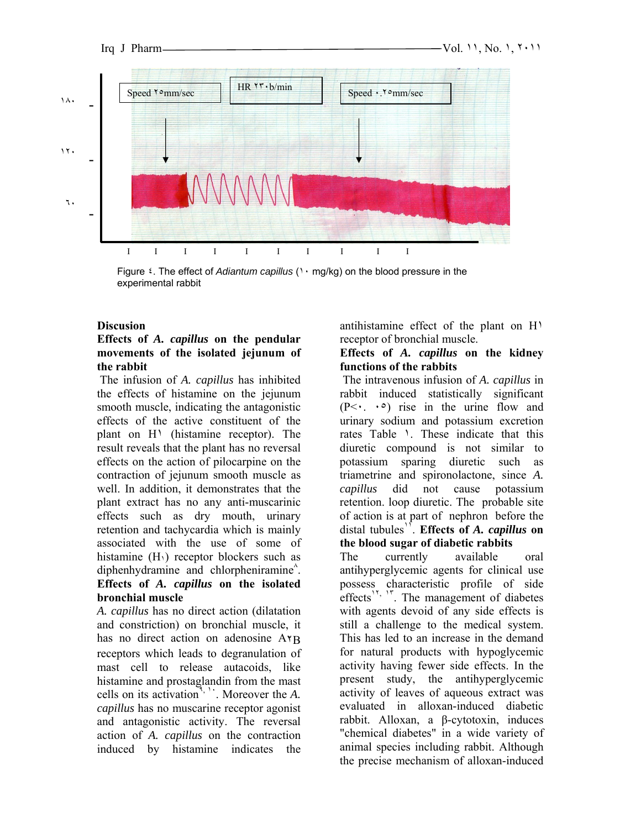

Figure ٤. The effect of *Adiantum capillus* (١٠ mg/kg) on the blood pressure in the experimental rabbit

#### **Discusion**

### **Effects of** *A. capillus* **on the pendular movements of the isolated jejunum of the rabbit**

The infusion of *A. capillus* has inhibited the effects of histamine on the jejunum smooth muscle, indicating the antagonistic effects of the active constituent of the plant on H<sup>1</sup> (histamine receptor). The result reveals that the plant has no reversal effects on the action of pilocarpine on the contraction of jejunum smooth muscle as well. In addition, it demonstrates that the plant extract has no any anti-muscarinic effects such as dry mouth, urinary retention and tachycardia which is mainly associated with the use of some of histamine  $(H_1)$  receptor blockers such as diphenhydramine and chlorpheniramine<sup>^</sup>. **Effects of** *A. capillus* **on the isolated** 

# **bronchial muscle**

*A. capillus* has no direct action (dilatation and constriction) on bronchial muscle, it has no direct action on adenosine ATB receptors which leads to degranulation of mast cell to release autacoids, like histamine and prostaglandin from the mast cells on its activation<sup>9, 11</sup>. Moreover the *A*. *capillus* has no muscarine receptor agonist and antagonistic activity. The reversal action of *A. capillus* on the contraction induced by histamine indicates the

antihistamine effect of the plant on H١ receptor of bronchial muscle.

## **Effects of** *A. capillus* **on the kidney functions of the rabbits**

The intravenous infusion of *A. capillus* in rabbit induced statistically significant  $(P<\cdot$ .  $\cdot \circ)$  rise in the urine flow and urinary sodium and potassium excretion rates Table ١. These indicate that this diuretic compound is not similar to potassium sparing diuretic such as triametrine and spironolactone, since *A. capillus* did not cause potassium retention. loop diuretic. The probable site of action is at part of nephron before the distal tubules<sup>1</sup>. **Effects of A. capillus on the blood sugar of diabetic rabbits**

The currently available oral antihyperglycemic agents for clinical use possess characteristic profile of side effects<sup> $15$ ,  $17$ </sup>. The management of diabetes with agents devoid of any side effects is still a challenge to the medical system. This has led to an increase in the demand for natural products with hypoglycemic activity having fewer side effects. In the present study, the antihyperglycemic activity of leaves of aqueous extract was evaluated in alloxan-induced diabetic rabbit. Alloxan, a β-cytotoxin, induces "chemical diabetes" in a wide variety of animal species including rabbit. Although the precise mechanism of alloxan-induced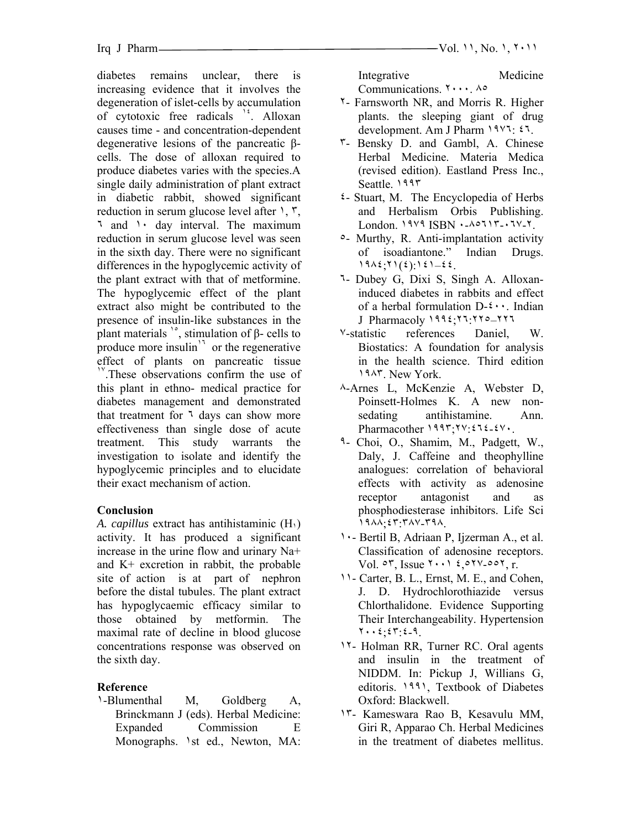diabetes remains unclear, there is increasing evidence that it involves the degeneration of islet-cells by accumulation of cytotoxic free radicals <sup>12</sup>. Alloxan causes time - and concentration-dependent degenerative lesions of the pancreatic βcells. The dose of alloxan required to produce diabetes varies with the species.A single daily administration of plant extract in diabetic rabbit, showed significant reduction in serum glucose level after ١, ٣, ٦ and ١٠ day interval. The maximum reduction in serum glucose level was seen in the sixth day. There were no significant differences in the hypoglycemic activity of the plant extract with that of metformine. The hypoglycemic effect of the plant extract also might be contributed to the presence of insulin-like substances in the plant materials  $\degree$ , stimulation of  $\beta$ - cells to produce more insulin $\frac{1}{1}$  or the regenerative effect of plants on pancreatic tissue  $\Gamma$ . These observations confirm the use of this plant in ethno- medical practice for diabetes management and demonstrated that treatment for <sup>1</sup> days can show more effectiveness than single dose of acute treatment. This study warrants the investigation to isolate and identify the hypoglycemic principles and to elucidate their exact mechanism of action.

## **Conclusion**

*A. capillus* extract has antihistaminic (H١) activity. It has produced a significant increase in the urine flow and urinary Na+ and K+ excretion in rabbit, the probable site of action is at part of nephron before the distal tubules. The plant extract has hypoglycaemic efficacy similar to those obtained by metformin. The maximal rate of decline in blood glucose concentrations response was observed on the sixth day.

# **Reference**

١-Blumenthal M, Goldberg A, Brinckmann J (eds). Herbal Medicine: Expanded Commission E Monographs. 1st ed., Newton, MA: Integrative Medicine Communications. ٢٠٠٠. ٨٥

- ٢- Farnsworth NR, and Morris R. Higher plants. the sleeping giant of drug development. Am J Pharm ١٩٧٦: ٤٦.
- ٣- Bensky D. and Gambl, A. Chinese Herbal Medicine. Materia Medica (revised edition). Eastland Press Inc., Seattle. ١٩٩٣
- ٤- Stuart, M. The Encyclopedia of Herbs and Herbalism Orbis Publishing. London. ١٩٧٩ ISBN ٠-٨٥٦١٣-٠٦٧-٢.
- ٥- Murthy, R. Anti-implantation activity of isoadiantone." Indian Drugs. ١٩٨٤;٢١(٤):١٤١–٤٤.
- ٦- Dubey G, Dixi S, Singh A. Alloxaninduced diabetes in rabbits and effect of a herbal formulation D-٤٠٠. Indian J Pharmacoly ١٩٩٤;٢٦:٢٢٥–٢٢٦
- ٧-statistic references Daniel, W. Biostatics: A foundation for analysis in the health science. Third edition ١٩٨٣. New York.
- ٨-Arnes L, McKenzie A, Webster D, Poinsett-Holmes K. A new nonsedating antihistamine. Ann. Pharmacother ١٩٩٣;٢٧:٤٦٤-٤٧٠.
- ٩- Choi, O., Shamim, M., Padgett, W., Daly, J. Caffeine and theophylline analogues: correlation of behavioral effects with activity as adenosine receptor antagonist and as phosphodiesterase inhibitors. Life Sci ١٩٨٨;٤٣:٣٨٧-٣٩٨.
- ١٠- Bertil B, Adriaan P, Ijzerman A., et al. Classification of adenosine receptors. Vol. ٥٣, Issue ٢٠٠١ ٤,٥٢٧-٥٥٢, r.
- ١١- Carter, B. L., Ernst, M. E., and Cohen, J. D. Hydrochlorothiazide versus Chlorthalidone. Evidence Supporting Their Interchangeability. Hypertension ٢٠٠٤;٤٣:٤-٩.
- ١٢- Holman RR, Turner RC. Oral agents and insulin in the treatment of NIDDM. In: Pickup J, Willians G, editoris. ١٩٩١, Textbook of Diabetes Oxford: Blackwell.
- ١٣- Kameswara Rao B, Kesavulu MM, Giri R, Apparao Ch. Herbal Medicines in the treatment of diabetes mellitus.